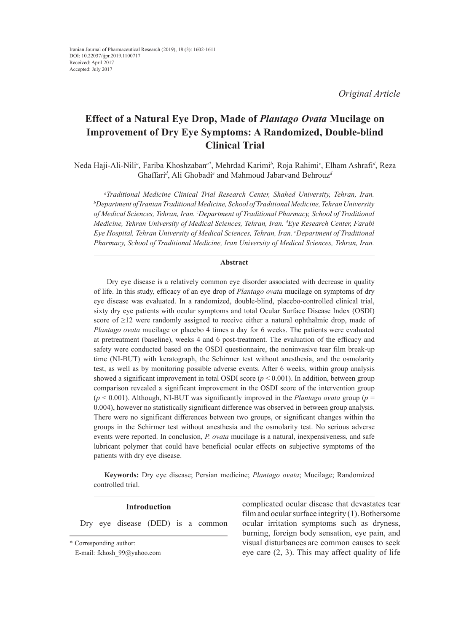*Original Article*

# **Effect of a Natural Eye Drop, Made of** *Plantago Ovata* **Mucilage on Improvement of Dry Eye Symptoms: A Randomized, Double-blind Clinical Trial**

Neda Haji-Ali-Nili*<sup>a</sup>* , Fariba Khoshzaban*a\**, Mehrdad Karimi*<sup>b</sup> ,* Roja Rahimi*<sup>c</sup>* , Elham Ashrafi*<sup>d</sup>* , Reza Ghaffari*<sup>d</sup>* , Ali Ghobadi*<sup>e</sup>* and Mahmoud Jabarvand Behrouz*<sup>d</sup>*

*a Traditional Medicine Clinical Trial Research Center, Shahed University, Tehran, Iran. b Department of Iranian Traditional Medicine, School of Traditional Medicine, Tehran University of Medical Sciences, Tehran, Iran. c Department of Traditional Pharmacy, School of Traditional Medicine, Tehran University of Medical Sciences, Tehran, Iran. d Eye Research Center, Farabi Eye Hospital, Tehran University of Medical Sciences, Tehran, Iran. e Department of Traditional Pharmacy, School of Traditional Medicine, Iran University of Medical Sciences, Tehran, Iran.*

## **Abstract**

 Dry eye disease is a relatively common eye disorder associated with decrease in quality of life. In this study, efficacy of an eye drop of *Plantago ovata* mucilage on symptoms of dry eye disease was evaluated. In a randomized, double-blind, placebo-controlled clinical trial, sixty dry eye patients with ocular symptoms and total Ocular Surface Disease Index (OSDI) score of  $\geq$ 12 were randomly assigned to receive either a natural ophthalmic drop, made of *Plantago ovata* mucilage or placebo 4 times a day for 6 weeks. The patients were evaluated at pretreatment (baseline), weeks 4 and 6 post-treatment. The evaluation of the efficacy and safety were conducted based on the OSDI questionnaire, the noninvasive tear film break-up time (NI-BUT) with keratograph, the Schirmer test without anesthesia, and the osmolarity test, as well as by monitoring possible adverse events. After 6 weeks, within group analysis showed a significant improvement in total OSDI score  $(p < 0.001)$ . In addition, between group comparison revealed a significant improvement in the OSDI score of the intervention group  $(p < 0.001)$ . Although, NI-BUT was significantly improved in the *Plantago ovata* group ( $p =$ 0.004), however no statistically significant difference was observed in between group analysis. There were no significant differences between two groups, or significant changes within the groups in the Schirmer test without anesthesia and the osmolarity test. No serious adverse events were reported. In conclusion, *P. ovata* mucilage is a natural, inexpensiveness, and safe lubricant polymer that could have beneficial ocular effects on subjective symptoms of the patients with dry eye disease.

**Keywords:** Dry eye disease; Persian medicine; *Plantago ovata*; Mucilage; Randomized controlled trial.

# **Introduction**

Dry eye disease (DED) is a common

complicated ocular disease that devastates tear film and ocular surface integrity  $(1)$ . Bothersome ocular irritation symptoms such as dryness, burning, foreign body sensation, eye pain, and visual disturbances are common causes to seek eye care (2, 3). This may affect quality of life

<sup>\*</sup> Corresponding author:

E-mail: fkhosh\_99@yahoo.com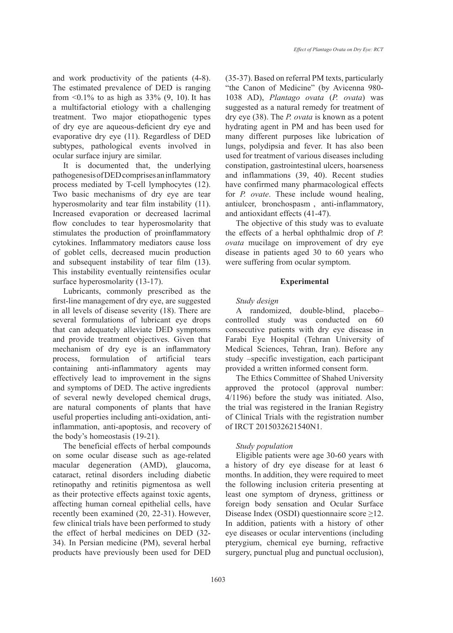and work productivity of the patients (4-8). The estimated prevalence of DED is ranging from  $0.1\%$  to as high as 33%  $(9, 10)$ . It has a multifactorial etiology with a challenging treatment. Two major etiopathogenic types of dry eye are aqueous-deficient dry eye and evaporative dry eye (11). Regardless of DED subtypes, pathological events involved in ocular surface injury are similar.

It is documented that, the underlying pathogenesis of DED comprises an inflammatory process mediated by T-cell lymphocytes (12). Two basic mechanisms of dry eye are tear hyperosmolarity and tear film instability (11). Increased evaporation or decreased lacrimal flow concludes to tear hyperosmolarity that stimulates the production of proinflammatory cytokines. Inflammatory mediators cause loss of goblet cells, decreased mucin production and subsequent instability of tear film (13). This instability eventually reintensifies ocular surface hyperosmolarity (13-17).

Lubricants, commonly prescribed as the first-line management of dry eye, are suggested in all levels of disease severity (18). There are several formulations of lubricant eye drops that can adequately alleviate DED symptoms and provide treatment objectives. Given that mechanism of dry eye is an inflammatory process, formulation of artificial tears containing anti-inflammatory agents may effectively lead to improvement in the signs and symptoms of DED. The active ingredients of several newly developed chemical drugs, are natural components of plants that have useful properties including anti-oxidation, antiinflammation, anti-apoptosis, and recovery of the body's homeostasis (19-21).

The beneficial effects of herbal compounds on some ocular disease such as age-related macular degeneration (AMD), glaucoma, cataract, retinal disorders including diabetic retinopathy and retinitis pigmentosa as well as their protective effects against toxic agents, affecting human corneal epithelial cells, have recently been examined (20, 22-31). However, few clinical trials have been performed to study the effect of herbal medicines on DED (32- 34). In Persian medicine (PM), several herbal products have previously been used for DED (35-37). Based on referral PM texts, particularly "the Canon of Medicine" (by Avicenna 980- 1038 AD), *Plantago ovata* (*P. ovata*) was suggested as a natural remedy for treatment of dry eye (38). The *P. ovata* is known as a potent hydrating agent in PM and has been used for many different purposes like lubrication of lungs, polydipsia and fever. It has also been used for treatment of various diseases including constipation, gastrointestinal ulcers, hoarseness and inflammations (39, 40). Recent studies have confirmed many pharmacological effects for *P. ovate*. These include wound healing, antiulcer, bronchospasm , anti-inflammatory, and antioxidant effects (41-47).

The objective of this study was to evaluate the effects of a herbal ophthalmic drop of *P. ovata* mucilage on improvement of dry eye disease in patients aged 30 to 60 years who were suffering from ocular symptom.

## **Experimental**

## *Study design*

A randomized, double-blind, placebo– controlled study was conducted on 60 consecutive patients with dry eye disease in Farabi Eye Hospital (Tehran University of Medical Sciences, Tehran, Iran). Before any study –specific investigation, each participant provided a written informed consent form.

The Ethics Committee of Shahed University approved the protocol (approval number: 4/1196) before the study was initiated. Also, the trial was registered in the Iranian Registry of Clinical Trials with the registration number of IRCT 2015032621540N1.

# *Study population*

Eligible patients were age 30-60 years with a history of dry eye disease for at least 6 months. In addition, they were required to meet the following inclusion criteria presenting at least one symptom of dryness, grittiness or foreign body sensation and Ocular Surface Disease Index (OSDI) questionnaire score ≥12. In addition, patients with a history of other eye diseases or ocular interventions (including pterygium, chemical eye burning, refractive surgery, punctual plug and punctual occlusion),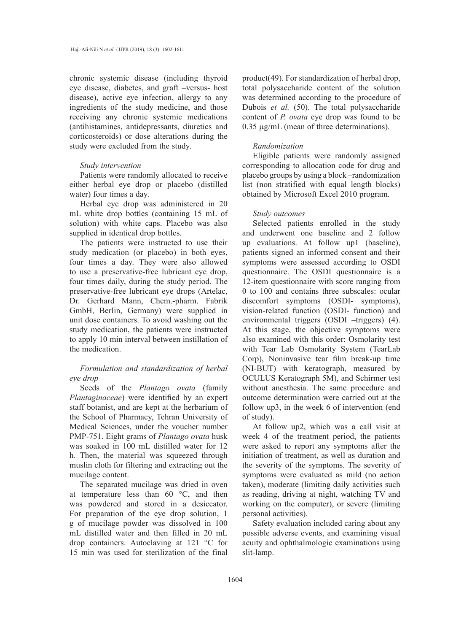chronic systemic disease (including thyroid eye disease, diabetes, and graft –versus- host disease), active eye infection, allergy to any ingredients of the study medicine, and those receiving any chronic systemic medications (antihistamines, antidepressants, diuretics and corticosteroids) or dose alterations during the study were excluded from the study.

#### *Study intervention*

Patients were randomly allocated to receive either herbal eye drop or placebo (distilled water) four times a day.

Herbal eye drop was administered in 20 mL white drop bottles (containing 15 mL of solution) with white caps. Placebo was also supplied in identical drop bottles.

The patients were instructed to use their study medication (or placebo) in both eyes, four times a day. They were also allowed to use a preservative-free lubricant eye drop, four times daily, during the study period. The preservative-free lubricant eye drops (Artelac, Dr. Gerhard Mann, Chem.-pharm. Fabrik GmbH, Berlin, Germany) were supplied in unit dose containers. To avoid washing out the study medication, the patients were instructed to apply 10 min interval between instillation of the medication.

# *Formulation and standardization of herbal eye drop*

Seeds of the *Plantago ovata* (family *Plantaginaceae*) were identified by an expert staff botanist, and are kept at the herbarium of the School of Pharmacy, Tehran University of Medical Sciences, under the voucher number PMP-751. Eight grams of *Plantago ovata* husk was soaked in 100 mL distilled water for 12 h. Then, the material was squeezed through muslin cloth for filtering and extracting out the mucilage content.

The separated mucilage was dried in oven at temperature less than 60 °C, and then was powdered and stored in a desiccator. For preparation of the eye drop solution, 1 g of mucilage powder was dissolved in 100 mL distilled water and then filled in 20 mL drop containers. Autoclaving at 121 °C for 15 min was used for sterilization of the final product(49). For standardization of herbal drop, total polysaccharide content of the solution was determined according to the procedure of Dubois *et al.* (50). The total polysaccharide content of *P. ovata* eye drop was found to be 0.35 µg/mL (mean of three determinations).

## *Randomization*

Eligible patients were randomly assigned corresponding to allocation code for drug and placebo groups by using a block –randomization list (non–stratified with equal–length blocks) obtained by Microsoft Excel 2010 program.

#### *Study outcomes*

Selected patients enrolled in the study and underwent one baseline and 2 follow up evaluations. At follow up1 (baseline), patients signed an informed consent and their symptoms were assessed according to OSDI questionnaire. The OSDI questionnaire is a 12-item questionnaire with score ranging from 0 to 100 and contains three subscales: ocular discomfort symptoms (OSDI- symptoms), vision-related function (OSDI- function) and environmental triggers (OSDI –triggers) (4). At this stage, the objective symptoms were also examined with this order: Osmolarity test with Tear Lab Osmolarity System (TearLab Corp), Noninvasive tear film break-up time (NI-BUT) with keratograph, measured by OCULUS Keratograph 5M), and Schirmer test without anesthesia. The same procedure and outcome determination were carried out at the follow up3, in the week 6 of intervention (end of study).

At follow up2, which was a call visit at week 4 of the treatment period, the patients were asked to report any symptoms after the initiation of treatment, as well as duration and the severity of the symptoms. The severity of symptoms were evaluated as mild (no action taken), moderate (limiting daily activities such as reading, driving at night, watching TV and working on the computer), or severe (limiting personal activities).

Safety evaluation included caring about any possible adverse events, and examining visual acuity and ophthalmologic examinations using slit-lamp.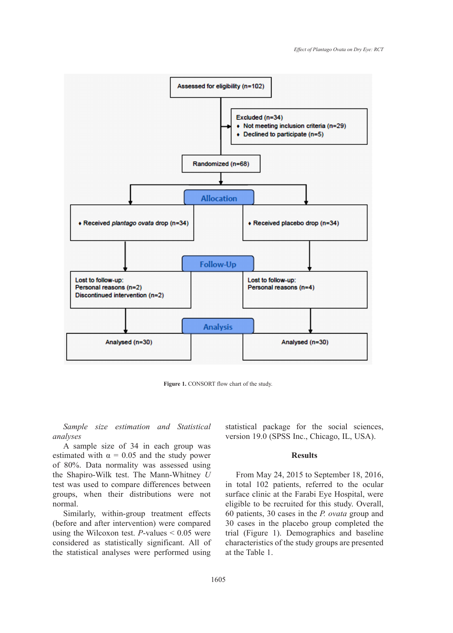

**Figure 1.** CONSORT flow chart of the study. **Figure 1.** CONSORT flow chart of the study.

*Sample size estimation and Statistical analyses*

A sample size of 34 in each group was estimated with  $\alpha = 0.05$  and the study power of 80%. Data normality was assessed using the Shapiro-Wilk test. The Mann-Whitney *U* test was used to compare differences between groups, when their distributions were not normal.

Similarly, within-group treatment effects (before and after intervention) were compared using the Wilcoxon test. *P*-values < 0.05 were considered as statistically significant. All of the statistical analyses were performed using statistical package for the social sciences, version 19.0 (SPSS Inc., Chicago, IL, USA).

#### **Results**

From May 24, 2015 to September 18, 2016, in total 102 patients, referred to the ocular surface clinic at the Farabi Eye Hospital, were eligible to be recruited for this study. Overall, 60 patients, 30 cases in the *P. ovata* group and 30 cases in the placebo group completed the trial (Figure 1). Demographics and baseline characteristics of the study groups are presented at the Table 1.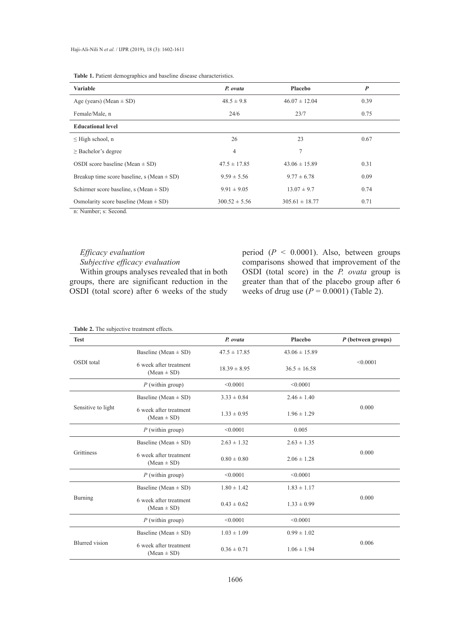**Table 1.** Patient demographics and baseline disease characteristics.

| <b>Variable</b>                                | P. ovata          | Placebo            | $\boldsymbol{P}$ |
|------------------------------------------------|-------------------|--------------------|------------------|
| Age (years) (Mean $\pm$ SD)                    | $48.5 \pm 9.8$    | $46.07 \pm 12.04$  | 0.39             |
| Female/Male, n                                 | 24/6              | 23/7               | 0.75             |
| <b>Educational level</b>                       |                   |                    |                  |
| $\leq$ High school, n                          | 26                | 23                 | 0.67             |
| $\geq$ Bachelor's degree                       | 4                 | 7                  |                  |
| OSDI score baseline (Mean $\pm$ SD)            | $47.5 \pm 17.85$  | $43.06 \pm 15.89$  | 0.31             |
| Breakup time score baseline, s (Mean $\pm$ SD) | $9.59 \pm 5.56$   | $9.77 \pm 6.78$    | 0.09             |
| Schirmer score baseline, s (Mean $\pm$ SD)     | $9.91 \pm 9.05$   | $13.07 \pm 9.7$    | 0.74             |
| Osmolarity score baseline (Mean $\pm$ SD)      | $300.52 \pm 5.56$ | $305.61 \pm 18.77$ | 0.71             |

n: Number; s: Second.

# *Efficacy evaluation*

*Subjective efficacy evaluation*

Within groups analyses revealed that in both groups, there are significant reduction in the OSDI (total score) after 6 weeks of the study period (*P* < 0.0001). Also, between groups comparisons showed that improvement of the OSDI (total score) in the *P. ovata* group is greater than that of the placebo group after 6 weeks of drug use  $(P = 0.0001)$  (Table 2).

| <b>Test</b>           |                                           | P. ovata         | Placebo           | P (between groups) |
|-----------------------|-------------------------------------------|------------------|-------------------|--------------------|
| OSDI total            | Baseline (Mean $\pm$ SD)                  | $47.5 \pm 17.85$ | $43.06 \pm 15.89$ | < 0.0001           |
|                       | 6 week after treatment<br>$(Mean \pm SD)$ | $18.39 \pm 8.95$ | $36.5 \pm 16.58$  |                    |
|                       | $P$ (within group)                        | < 0.0001         | < 0.0001          |                    |
| Sensitive to light    | Baseline (Mean $\pm$ SD)                  | $3.33 \pm 0.84$  | $2.46 \pm 1.40$   | 0.000              |
|                       | 6 week after treatment<br>$(Mean \pm SD)$ | $1.33 \pm 0.95$  | $1.96 \pm 1.29$   |                    |
|                       | $P$ (within group)                        | < 0.0001         | 0.005             |                    |
| Grittiness            | Baseline (Mean $\pm$ SD)                  | $2.63 \pm 1.32$  | $2.63 \pm 1.35$   | 0.000              |
|                       | 6 week after treatment<br>$(Mean \pm SD)$ | $0.80 \pm 0.80$  | $2.06 \pm 1.28$   |                    |
|                       | $P$ (within group)                        | < 0.0001         | < 0.0001          |                    |
| Burning               | Baseline (Mean $\pm$ SD)                  | $1.80 \pm 1.42$  | $1.83 \pm 1.17$   |                    |
|                       | 6 week after treatment<br>$(Mean \pm SD)$ | $0.43 \pm 0.62$  | $1.33 \pm 0.99$   | 0.000              |
|                       | $P$ (within group)                        | < 0.0001         | < 0.0001          |                    |
| <b>Blurred</b> vision | Baseline (Mean $\pm$ SD)                  | $1.03 \pm 1.09$  | $0.99 \pm 1.02$   |                    |
|                       | 6 week after treatment<br>$(Mean \pm SD)$ | $0.36 \pm 0.71$  | $1.06 \pm 1.94$   | 0.006              |

#### **Table 2.** The subjective treatment effects.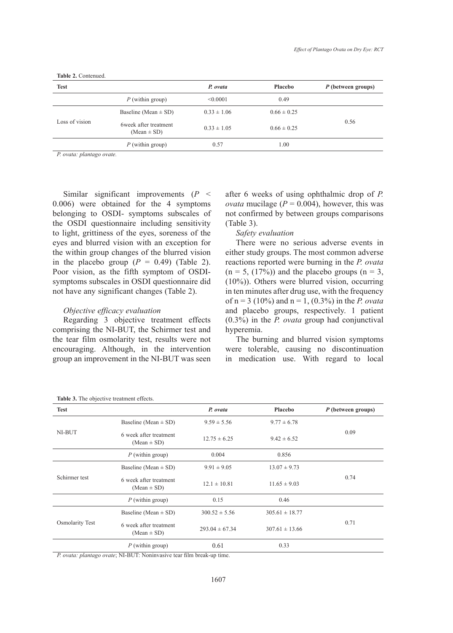| <b>Test</b>    |                                          | P. ovata        | Placebo         | P (between groups) |
|----------------|------------------------------------------|-----------------|-----------------|--------------------|
|                | $P$ (within group)                       | < 0.0001        | 0.49            |                    |
| Loss of vision | Baseline (Mean $\pm$ SD)                 | $0.33 \pm 1.06$ | $0.66 \pm 0.25$ | 0.56               |
|                | 6week after treatment<br>$(Mean \pm SD)$ | $0.33 \pm 1.05$ | $0.66 \pm 0.25$ |                    |
|                | $P$ (within group)                       | 0.57            | 1.00            |                    |

**Table 2.** Contenued.

*P. ovata: plantago ovate.*

Similar significant improvements (*P* < 0.006) were obtained for the 4 symptoms belonging to OSDI- symptoms subscales of the OSDI questionnaire including sensitivity to light, grittiness of the eyes, soreness of the eyes and blurred vision with an exception for the within group changes of the blurred vision in the placebo group  $(P = 0.49)$  (Table 2). Poor vision, as the fifth symptom of OSDIsymptoms subscales in OSDI questionnaire did not have any significant changes (Table 2).

# *Objective efficacy evaluation*

Regarding 3 objective treatment effects comprising the NI-BUT, the Schirmer test and the tear film osmolarity test, results were not encouraging. Although, in the intervention group an improvement in the NI-BUT was seen after 6 weeks of using ophthalmic drop of *P. ovata* mucilage ( $P = 0.004$ ), however, this was not confirmed by between groups comparisons (Table 3).

# *Safety evaluation*

There were no serious adverse events in either study groups. The most common adverse reactions reported were burning in the *P. ovata*   $(n = 5, (17\%)$ ) and the placebo groups  $(n = 3,$ (10%)). Others were blurred vision, occurring in ten minutes after drug use, with the frequency of n = 3 (10%) and n = 1, (0.3%) in the *P. ovata*  and placebo groups, respectively. 1 patient (0.3%) in the *P. ovata* group had conjunctival hyperemia.

The burning and blurred vision symptoms were tolerable, causing no discontinuation in medication use. With regard to local

| <b>Test</b>            |                                           | P. ovata           | Placebo            | P (between groups) |
|------------------------|-------------------------------------------|--------------------|--------------------|--------------------|
| NI-BUT                 | Baseline (Mean $\pm$ SD)                  | $9.59 \pm 5.56$    | $9.77 \pm 6.78$    | 0.09               |
|                        | 6 week after treatment<br>$(Mean \pm SD)$ | $12.75 \pm 6.25$   | $9.42 \pm 6.52$    |                    |
|                        | $P$ (within group)                        | 0.004              | 0.856              |                    |
| Schirmer test          | Baseline (Mean $\pm$ SD)                  | $9.91 \pm 9.05$    | $13.07 \pm 9.73$   | 0.74               |
|                        | 6 week after treatment<br>$(Mean \pm SD)$ | $12.1 \pm 10.81$   | $11.65 \pm 9.03$   |                    |
|                        | $P$ (within group)                        | 0.15               | 0.46               |                    |
| <b>Osmolarity Test</b> | Baseline (Mean $\pm$ SD)                  | $300.52 \pm 5.56$  | $305.61 \pm 18.77$ |                    |
|                        | 6 week after treatment<br>$(Mean \pm SD)$ | $293.04 \pm 67.34$ | $307.61 \pm 13.66$ | 0.71               |
|                        | $P$ (within group)                        | 0.61               | 0.33               |                    |

| Table 3. The objective treatment effects. |  |  |  |
|-------------------------------------------|--|--|--|
|-------------------------------------------|--|--|--|

*P. ovata: plantago ovate*; NI-BUT: Noninvasive tear film break-up time.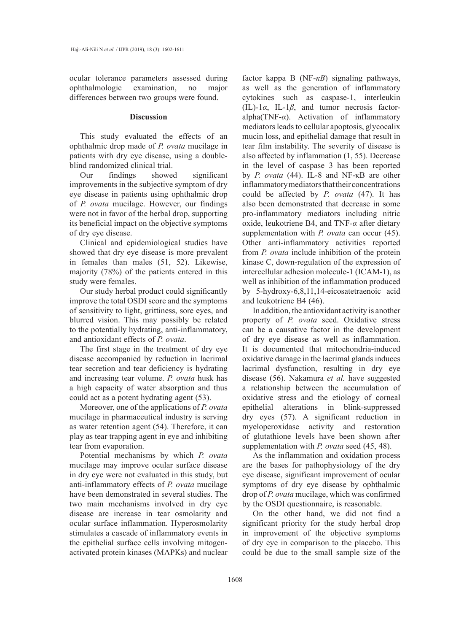ocular tolerance parameters assessed during ophthalmologic examination, no major differences between two groups were found.

#### **Discussion**

This study evaluated the effects of an ophthalmic drop made of *P. ovata* mucilage in patients with dry eye disease, using a doubleblind randomized clinical trial.

Our findings showed significant improvements in the subjective symptom of dry eye disease in patients using ophthalmic drop of *P. ovata* mucilage. However, our findings were not in favor of the herbal drop, supporting its beneficial impact on the objective symptoms of dry eye disease.

Clinical and epidemiological studies have showed that dry eye disease is more prevalent in females than males (51, 52). Likewise, majority (78%) of the patients entered in this study were females.

Our study herbal product could significantly improve the total OSDI score and the symptoms of sensitivity to light, grittiness, sore eyes, and blurred vision. This may possibly be related to the potentially hydrating, anti-inflammatory, and antioxidant effects of *P. ovata*.

The first stage in the treatment of dry eye disease accompanied by reduction in lacrimal tear secretion and tear deficiency is hydrating and increasing tear volume. *P. ovata* husk has a high capacity of water absorption and thus could act as a potent hydrating agent (53).

Moreover, one of the applications of *P. ovata* mucilage in pharmaceutical industry is serving as water retention agent (54). Therefore, it can play as tear trapping agent in eye and inhibiting tear from evaporation.

Potential mechanisms by which *P. ovata* mucilage may improve ocular surface disease in dry eye were not evaluated in this study, but anti-inflammatory effects of *P. ovata* mucilage have been demonstrated in several studies. The two main mechanisms involved in dry eye disease are increase in tear osmolarity and ocular surface inflammation. Hyperosmolarity stimulates a cascade of inflammatory events in the epithelial surface cells involving mitogenactivated protein kinases (MAPKs) and nuclear

factor kappa B (NF-*κB*) signaling pathways, as well as the generation of inflammatory cytokines such as caspase-1, interleukin (IL)-1*α*, IL-1*β*, and tumor necrosis factoralpha(TNF-*α*). Activation of inflammatory mediators leads to cellular apoptosis, glycocalix mucin loss, and epithelial damage that result in tear film instability. The severity of disease is also affected by inflammation (1, 55). Decrease in the level of caspase 3 has been reported by *P. ovata* (44). IL-8 and NF-κB are other inflammatory mediators that their concentrations could be affected by *P. ovata* (47). It has also been demonstrated that decrease in some pro-inflammatory mediators including nitric oxide, leukotriene B4, and TNF-*α* after dietary supplementation with *P. ovata* can occur (45). Other anti-inflammatory activities reported from *P. ovata* include inhibition of the protein kinase C, down-regulation of the expression of intercellular adhesion molecule-1 (ICAM-1), as well as inhibition of the inflammation produced by 5-hydroxy-6,8,11,14-eicosatetraenoic acid and leukotriene B4 (46).

In addition, the antioxidant activity is another property of *P. ovata* seed. Oxidative stress can be a causative factor in the development of dry eye disease as well as inflammation. It is documented that mitochondria-induced oxidative damage in the lacrimal glands induces lacrimal dysfunction, resulting in dry eye disease (56). Nakamura *et al.* have suggested a relationship between the accumulation of oxidative stress and the etiology of corneal epithelial alterations in blink-suppressed dry eyes (57). A significant reduction in myeloperoxidase activity and restoration of glutathione levels have been shown after supplementation with *P. ovata* seed (45, 48).

As the inflammation and oxidation process are the bases for pathophysiology of the dry eye disease, significant improvement of ocular symptoms of dry eye disease by ophthalmic drop of *P. ovata* mucilage, which was confirmed by the OSDI questionnaire, is reasonable.

On the other hand, we did not find a significant priority for the study herbal drop in improvement of the objective symptoms of dry eye in comparison to the placebo. This could be due to the small sample size of the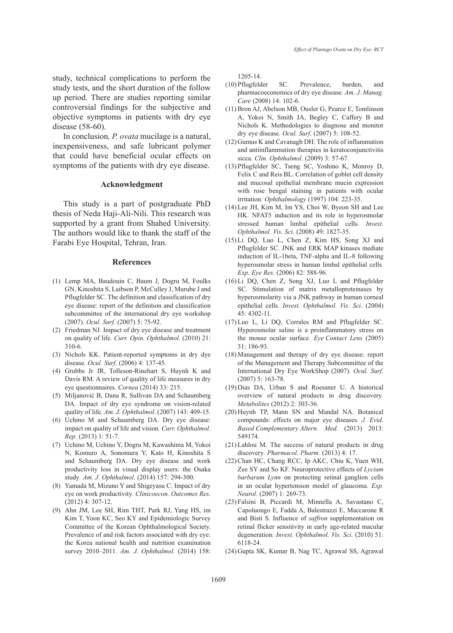study, technical complications to perform the study tests, and the short duration of the follow up period. There are studies reporting similar controversial findings for the subjective and objective symptoms in patients with dry eye disease (58-60).

In conclusion*, P. ovata* mucilage is a natural, inexpensiveness, and safe lubricant polymer that could have beneficial ocular effects on symptoms of the patients with dry eye disease.

#### **Acknowledgment**

This study is a part of postgraduate PhD thesis of Neda Haji-Ali-Nili. This research was supported by a grant from Shahed University. The authors would like to thank the staff of the Farabi Eye Hospital, Tehran, Iran.

### **References**

- (1) Lemp MA, Baudouin C, Baum J, Dogru M, Foulks GN, Kinoshita S, Laibson P, McCulley J, Murube J and Pflugfelder SC. The definition and classification of dry eye disease: report of the definition and classification subcommittee of the international dry eye workshop (2007). *Ocul. Surf*. (2007) 5: 75-92.
- (2) Friedman NJ. Impact of dry eye disease and treatment on quality of life*. Curr. Opin. Ophthalmol.* (2010) 21: 310-6.
- (3) Nichols KK. Patient-reported symptoms in dry dye disease*. Ocul. Surf*. (2006) 4: 137-45.
- (4) Grubbs Jr JR, Tolleson-Rinehart S, Huynh K and Davis RM. A review of quality of life measures in dry eye questionnaires*. Cornea* (2014) 33: 215.
- (5) Miljanović B, Dana R, Sullivan DA and Schaumberg DA. Impact of dry eye syndrome on vision-related quality of life*. Am. J. Ophthalmol*. (2007) 143: 409-15.
- (6) Uchino M and Schaumberg DA. Dry eye disease: impact on quality of life and vision*. Curr. Ophthalmol. Rep*. (2013) 1: 51-7.
- (7) Uchino M, Uchino Y, Dogru M, Kawashima M, Yokoi N, Komuro A, Sonomura Y, Kato H, Kinoshita S and Schaumberg DA. Dry eye disease and work productivity loss in visual display users: the Osaka study*. Am. J. Ophthalmol*. (2014) 157: 294-300.
- (8) Yamada M, Mizuno Y and Shigeyasu C. Impact of dry eye on work productivity*. Clinicoecon. Outcomes Res*. (2012) 4: 307-12.
- Ahn JM, Lee SH, Rim THT, Park RJ, Yang HS, im (9) Kim T, Yoon KC, Seo KY and Epidemiologic Survey Committee of the Korean Ophthalmological Society. Prevalence of and risk factors associated with dry eye: the Korea national health and nutrition examination survey 2010–2011*. Am. J. Ophthalmol.* (2014) 158:

1205-14.

- SC. Prevalence, burden, and pharmacoeconomics of dry eye disease*. Am. J. Manag. Care* (2008) 14: 102-6. (10) Pflugfelder
- (11) Bron AJ, Abelson MB, Ousler G, Pearce E, Tomlinson A, Yokoi N, Smith JA, Begley C, Caffery B and Nichols K. Methodologies to diagnose and monitor dry eye disease*. Ocul. Surf*. (2007) 5: 108-52.
- $(12)$  Gumus K and Cavanagh DH. The role of inflammation and antiinflammation therapies in keratoconjunctivitis sicca*. Clin. Ophthalmol*. (2009) 3: 57-67.
- Pflugfelder SC, Tseng SC, Yoshino K, Monroy D, (13) Felix C and Reis BL. Correlation of goblet cell density and mucosal epithelial membrane mucin expression with rose bengal staining in patients with ocular irritation*. Ophthalmology* (1997) 104: 223-35.
- (14) Lee JH, Kim M, Im YS, Choi W, Byeon SH and Lee HK. NFAT5 induction and its role in hyperosmolar stressed human limbal epithelial cells*. Invest. Ophthalmol. Vis. Sci*. (2008) 49: 1827-35.
- Li DQ, Luo L, Chen Z, Kim HS, Song XJ and (15) Pflugfelder SC. JNK and ERK MAP kinases mediate induction of IL-1beta, TNF-alpha and IL-8 following hyperosmolar stress in human limbal epithelial cells*. Exp. Eye Res*. (2006) 82: 588-96.
- $(16)$  Li DQ, Chen Z, Song XJ, Luo L and Pflugfelder SC. Stimulation of matrix metalloproteinases by hyperosmolarity via a JNK pathway in human corneal epithelial cells*. Invest. Ophthalmol. Vis. Sci*. (2004) 45: 4302-11.
- (17) Luo L, Li DQ, Corrales RM and Pflugfelder SC. Hyperosmolar saline is a proinflammatory stress on the mouse ocular surface*. Eye Contact Lens* (2005) 31: 186-93.
- (18) Management and therapy of dry eye disease: report of the Management and Therapy Subcommittee of the International Dry Eye WorkShop (2007)*. Ocul. Surf*. (2007) 5: 163-78.
- (19) Dias DA, Urban S and Roessner U. A historical overview of natural products in drug discovery*. Metabolites* (2012) 2: 303-36.
- (20) Huynh TP, Mann SN and Mandal NA. Botanical compounds: effects on major eye diseases*. J. Evid. Based Complementary Altern. Med.* (2013) 2013: 549174.
- $(21)$  Lahlou M. The success of natural products in drug discovery*. Pharmacol. Pharm.* (2013) 4: 17.
- (22) Chan HC, Chang RCC, Ip AKC, Chiu K, Yuen WH, Zee SY and So KF. Neuroprotective effects of *Lycium barbarum Lynn* on protecting retinal ganglion cells in an ocular hypertension model of glaucoma*. Exp. Neurol*. (2007) 1: 269-73.
- Falsini B, Piccardi M, Minnella A, Savastano C, (23) Capoluongo E, Fadda A, Balestrazzi E, Maccarone R and Bisti S. Influence of *saffron* supplementation on retinal flicker sensitivity in early age-related macular degeneration*. Invest. Ophthalmol. Vis. Sci*. (2010) 51: 6118-24.
- (24) Gupta SK, Kumar B, Nag TC, Agrawal SS, Agrawal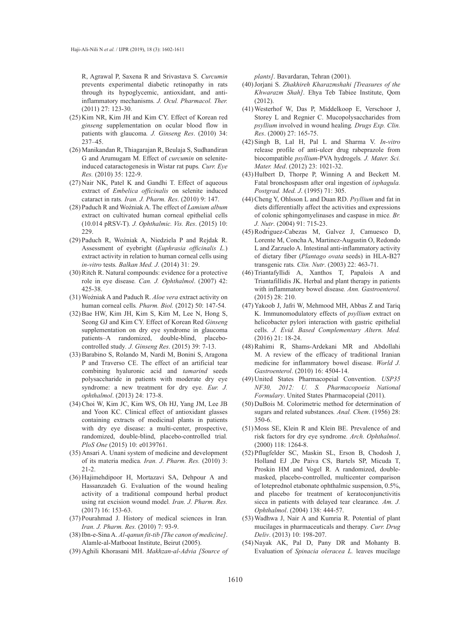R, Agrawal P, Saxena R and Srivastava S. *Curcumin* prevents experimental diabetic retinopathy in rats through its hypoglycemic, antioxidant, and antiinflammatory mechanisms*. J. Ocul. Pharmacol. Ther.* (2011) 27: 123-30.

- (25) Kim NR, Kim JH and Kim CY. Effect of Korean red *ginseng* supplementation on ocular blood flow in patients with glaucoma*. J. Ginseng Res*. (2010) 34: 237–45.
- (26) Manikandan R, Thiagarajan R, Beulaja S, Sudhandiran G and Arumugam M. Effect of *curcumin* on seleniteinduced cataractogenesis in Wistar rat pups*. Curr. Eye Res.* (2010) 35: 122-9.
- $(27)$  Nair NK, Patel K and Gandhi T. Effect of aqueous extract of *Embelica officinalis* on selenite induced cataract in rats*. Iran. J. Pharm. Res*. (2010) 9: 147.
- Paduch R and Woźniak A. The effect of *Lamium album*  (28) extract on cultivated human corneal epithelial cells (10.014 pRSV-T)*. J. Ophthalmic. Vis. Res*. (2015) 10: 229.
- (29) Paduch R, Woźniak A, Niedziela P and Rejdak R. Assessment of eyebright (*Euphrasia officinalis L.*) extract activity in relation to human corneal cells using *in-vitro* tests*. Balkan Med. J*. (2014) 31: 29.
- (30) Ritch R. Natural compounds: evidence for a protective role in eye disease*. Can. J. Ophthalmol*. (2007) 42: 425-38.
- Woźniak A and Paduch R. *Aloe vera* extract activity on (31) human corneal cells*. Pharm. Biol.* (2012) 50: 147-54.
- (32) Bae HW, Kim JH, Kim S, Kim M, Lee N, Hong S, Seong GJ and Kim CY. Effect of Korean Red *Ginseng* supplementation on dry eye syndrome in glaucoma patients–A randomized, double-blind, placebocontrolled study*. J. Ginseng Res*. (2015) 39: 7-13.
- (33) Barabino S, Rolando M, Nardi M, Bonini S, Aragona P and Traverso CE. The effect of an artificial tear combining hyaluronic acid and *tamarind* seeds polysaccharide in patients with moderate dry eye syndrome: a new treatment for dry eye*. Eur. J. ophthalmol*. (2013) 24: 173-8.
- (34) Choi W, Kim JC, Kim WS, Oh HJ, Yang JM, Lee JB and Yoon KC. Clinical effect of antioxidant glasses containing extracts of medicinal plants in patients with dry eye disease: a multi-center, prospective, randomized, double-blind, placebo-controlled trial*. PloS One* (2015) 10: e0139761.
- (35) Ansari A. Unani system of medicine and development of its materia medica*. Iran. J*. *Pharm. Res.* (2010) 3: 21-2.
- (36) Hajimehdipoor H, Mortazavi SA, Dehpour A and Hassanzadeh G. Evaluation of the wound healing activity of a traditional compound herbal product using rat excision wound model*. Iran. J. Pharm. Res.*  $(2017)$  16: 153-63.
- Pourahmad J. History of medical sciences in Iran*.*  (37) *Iran. J. Pharm. Res.* (2010) 7: 93-9.
- Ibn-e-Sina A. *Al-qanun fit-tib [The canon of medicine]*. (38) Alamle-al-Matbooat Institute, Beirut (2005).
- (39) Aghili Khorasani MH. Makhzan-al-Advia [Source of

*plants]*. Bavardaran, Tehran (2001).

- Jorjani S. *Zhakhireh Kharazmshahi [Treasures of the*  (40) *Khwarazm Shah]*. Ehya Teb Tabiee Institute, Qom (2012).
- Westerhof W, Das P, Middelkoop E, Verschoor J, (41) Storey L and Regnier C. Mucopolysaccharides from *psyllium* involved in wound healing*. Drugs Exp. Clin. Res*. (2000) 27: 165-75.
- Singh B, Lal H, Pal L and Sharma V. *In-vitro* (42) release profile of anti-ulcer drug rabeprazole from biocompatible *psyllium*-PVA hydrogels*. J. Mater. Sci. Mater. Med*. (2012) 23: 1021-32.
- $(43)$  Hulbert D, Thorpe P, Winning A and Beckett M. Fatal bronchospasm after oral ingestion of *isphagula. Postgrad. Med. J*. (1995) 71: 305.
- Cheng Y, Ohlsson L and Duan RD. *Psyllium* and fat in (44) diets differentially affect the activities and expressions of colonic sphingomyelinases and caspase in mice*. Br. J. Nutr*. (2004) 91: 715-23.
- (45) Rodriguez-Cabezas M, Galvez J, Camuesco D, Lorente M, Concha A, Martinez-Augustin O, Redondo L and Zarzuelo A. Intestinal anti-inflammatory activity of dietary fiber (*Plantago ovata* seeds) in HLA-B27 transgenic rats*. Clin. Nutr*. (2003) 22: 463-71.
- (46) Triantafyllidi A, Xanthos T, Papalois A and Triantafillidis JK. Herbal and plant therapy in patients with inflammatory bowel disease*. Ann. Gastroenterol.*  (2015) 28: 210.
- (47) Yakoob J, Jafri W, Mehmood MH, Abbas Z and Tariq K. Immunomodulatory effects of *psyllium* extract on helicobacter pylori interaction with gastric epithelial cells. *J. Evid. Based Complementary Altern. Med.* (2016) 21: 18-24.
- (48) Rahimi R, Shams-Ardekani MR and Abdollahi M. A review of the efficacy of traditional Iranian medicine for inflammatory bowel disease*. World J. Gastroenterol*. (2010) 16: 4504-14.
- United States Pharmacopeial Convention. *USP35*  (49) *NF30, 2012: U. S. Pharmacopoeia National Formulary*. United States Pharmacopeial (2011).
- (50) DuBois M. Colorimetric method for determination of sugars and related substances*. Anal. Chem*. (1956) 28: 350-6.
- (51) Moss SE, Klein R and Klein BE. Prevalence of and risk factors for dry eye syndrome*. Arch. Ophthalmol*. (2000) 118: 1264-8.
- (52) Pflugfelder SC, Maskin SL, Erson B, Chodosh J, Holland EJ ,De Paiva CS, Bartels SP, Micuda T, Proskin HM and Vogel R. A randomized, doublemasked, placebo-controlled, multicenter comparison of loteprednol etabonate ophthalmic suspension, 0.5%, and placebo for treatment of keratoconjunctivitis sicca in patients with delayed tear clearance*. Am. J. Ophthalmol*. (2004) 138: 444-57.
- Wadhwa J, Nair A and Kumria R. Potential of plant (53) mucilages in pharmaceuticals and therapy*. Curr. Drug Deliv*. (2013) 10: 198-207.
- Nayak AK, Pal D, Pany DR and Mohanty B. (54)Evaluation of *Spinacia oleracea L.* leaves mucilage